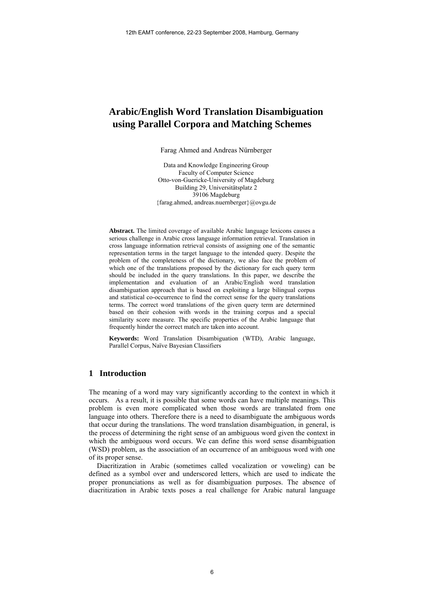# **Arabic/English Word Translation Disambiguation using Parallel Corpora and Matching Schemes**

Farag Ahmed and Andreas Nürnberger

Data and Knowledge Engineering Group Faculty of Computer Science Otto-von-Guericke-University of Magdeburg Building 29, Universitätsplatz 2 39106 Magdeburg {farag.ahmed, andreas.nuernberger}@ovgu.de

**Abstract.** The limited coverage of available Arabic language lexicons causes a serious challenge in Arabic cross language information retrieval. Translation in cross language information retrieval consists of assigning one of the semantic representation terms in the target language to the intended query. Despite the problem of the completeness of the dictionary, we also face the problem of which one of the translations proposed by the dictionary for each query term should be included in the query translations. In this paper, we describe the implementation and evaluation of an Arabic/English word translation disambiguation approach that is based on exploiting a large bilingual corpus and statistical co-occurrence to find the correct sense for the query translations terms. The correct word translations of the given query term are determined based on their cohesion with words in the training corpus and a special similarity score measure. The specific properties of the Arabic language that frequently hinder the correct match are taken into account.

**Keywords:** Word Translation Disambiguation (WTD), Arabic language, Parallel Corpus, Naïve Bayesian Classifiers

# **1 Introduction**

The meaning of a word may vary significantly according to the context in which it occurs. As a result, it is possible that some words can have multiple meanings. This problem is even more complicated when those words are translated from one language into others. Therefore there is a need to disambiguate the ambiguous words that occur during the translations. The word translation disambiguation, in general, is the process of determining the right sense of an ambiguous word given the context in which the ambiguous word occurs. We can define this word sense disambiguation (WSD) problem, as the association of an occurrence of an ambiguous word with one of its proper sense.

Diacritization in Arabic (sometimes called vocalization or voweling) can be defined as a symbol over and underscored letters, which are used to indicate the proper pronunciations as well as for disambiguation purposes. The absence of diacritization in Arabic texts poses a real challenge for Arabic natural language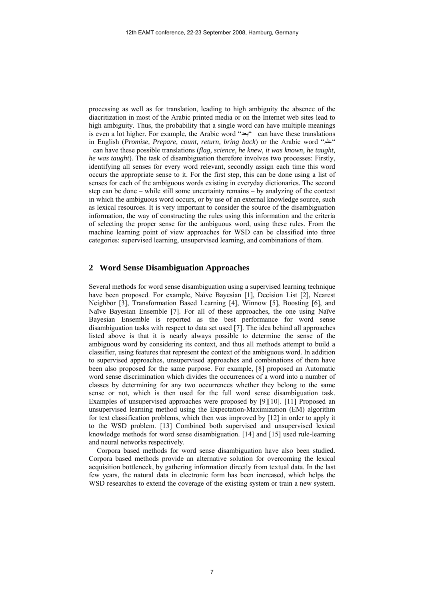processing as well as for translation, leading to high ambiguity the absence of the diacritization in most of the Arabic printed media or on the Internet web sites lead to high ambiguity. Thus, the probability that a single word can have multiple meanings is even a lot higher. For example, the Arabic word "يعد "can have these translations in English (*Promise, Prepare, count, return, bring back*) or the Arabic word "علم "

can have these possible translations (*flag, science, he knew, it was known, he taught, he was taught*). The task of disambiguation therefore involves two processes: Firstly, identifying all senses for every word relevant, secondly assign each time this word occurs the appropriate sense to it. For the first step, this can be done using a list of senses for each of the ambiguous words existing in everyday dictionaries. The second step can be done – while still some uncertainty remains – by analyzing of the context in which the ambiguous word occurs, or by use of an external knowledge source, such as lexical resources. It is very important to consider the source of the disambiguation information, the way of constructing the rules using this information and the criteria of selecting the proper sense for the ambiguous word, using these rules. From the machine learning point of view approaches for WSD can be classified into three categories: supervised learning, unsupervised learning, and combinations of them.

### **2 Word Sense Disambiguation Approaches**

Several methods for word sense disambiguation using a supervised learning technique have been proposed. For example, Naïve Bayesian [1], Decision List [2], Nearest Neighbor [3], Transformation Based Learning [4], Winnow [5], Boosting [6], and Naïve Bayesian Ensemble [7]. For all of these approaches, the one using Naïve Bayesian Ensemble is reported as the best performance for word sense disambiguation tasks with respect to data set used [7]. The idea behind all approaches listed above is that it is nearly always possible to determine the sense of the ambiguous word by considering its context, and thus all methods attempt to build a classifier, using features that represent the context of the ambiguous word. In addition to supervised approaches, unsupervised approaches and combinations of them have been also proposed for the same purpose. For example, [8] proposed an Automatic word sense discrimination which divides the occurrences of a word into a number of classes by determining for any two occurrences whether they belong to the same sense or not, which is then used for the full word sense disambiguation task. Examples of unsupervised approaches were proposed by [9][10]. [11] Proposed an unsupervised learning method using the Expectation-Maximization (EM) algorithm for text classification problems, which then was improved by [12] in order to apply it to the WSD problem. [13] Combined both supervised and unsupervised lexical knowledge methods for word sense disambiguation. [14] and [15] used rule-learning and neural networks respectively.

Corpora based methods for word sense disambiguation have also been studied. Corpora based methods provide an alternative solution for overcoming the lexical acquisition bottleneck, by gathering information directly from textual data. In the last few years, the natural data in electronic form has been increased, which helps the WSD researches to extend the coverage of the existing system or train a new system.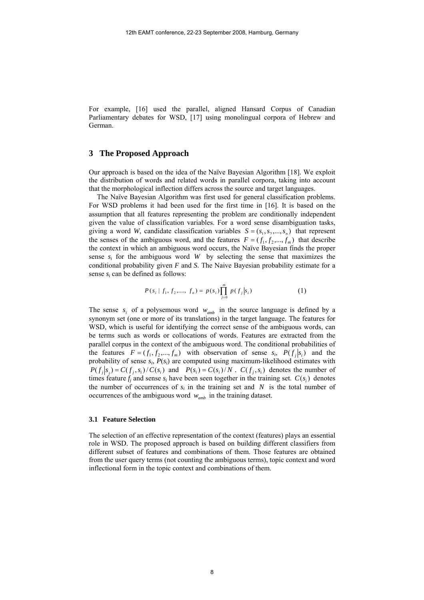For example, [16] used the parallel, aligned Hansard Corpus of Canadian Parliamentary debates for WSD, [17] using monolingual corpora of Hebrew and German.

### **3 The Proposed Approach**

Our approach is based on the idea of the Naïve Bayesian Algorithm [18]. We exploit the distribution of words and related words in parallel corpora, taking into account that the morphological inflection differs across the source and target languages.

The Naïve Bayesian Algorithm was first used for general classification problems. For WSD problems it had been used for the first time in [16]. It is based on the assumption that all features representing the problem are conditionally independent given the value of classification variables. For a word sense disambiguation tasks, giving a word *W*, candidate classification variables  $S = (s_1, s_2, ..., s_n)$  that represent the senses of the ambiguous word, and the features  $F = (f_1, f_2, ..., f_m)$  that describe the context in which an ambiguous word occurs, the Naïve Bayesian finds the proper sense  $s_i$  for the ambiguous word *W* by selecting the sense that maximizes the conditional probability given *F* and *S*. The Naive Bayesian probability estimate for a sense *si* can be defined as follows:

$$
P(s_i | f_1, f_2, \dots, f_n) = p(s_i) \prod_{j=0}^{m} p(f_j | s_i)
$$
 (1)

The sense  $s_i$  of a polysemous word  $w_{amb}$  in the source language is defined by a synonym set (one or more of its translations) in the target language. The features for WSD, which is useful for identifying the correct sense of the ambiguous words, can be terms such as words or collocations of words. Features are extracted from the parallel corpus in the context of the ambiguous word. The conditional probabilities of the features  $F = (f_1, f_2, ..., f_m)$  with observation of sense  $s_i$ ,  $P(f_i|s_i)$  and the probability of sense *si*, *P*(*si*) are computed using maximum-likelihood estimates with  $P(f_i|s_i) = C(f_i,s_i)/C(s_i)$  and  $P(s_i) = C(s_i)/N$ .  $C(f_i,s_i)$  denotes the number of times feature  $f_i$  and sense  $s_i$  have been seen together in the training set.  $C(s_i)$  denotes the number of occurrences of  $s_i$  in the training set and  $N$  is the total number of occurrences of the ambiguous word *wamb* in the training dataset.

#### **3.1 Feature Selection**

The selection of an effective representation of the context (features) plays an essential role in WSD. The proposed approach is based on building different classifiers from different subset of features and combinations of them. Those features are obtained from the user query terms (not counting the ambiguous terms), topic context and word inflectional form in the topic context and combinations of them.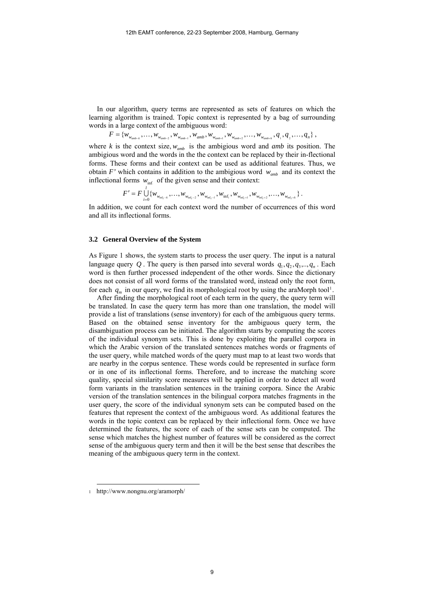In our algorithm, query terms are represented as sets of features on which the learning algorithm is trained. Topic context is represented by a bag of surrounding words in a large context of the ambiguous word:

 $F = \{w_{w_{amb-k}}, \ldots, w_{w_{amb-2}}, w_{w_{amb-1}}, w_{amb}, w_{w_{amb+1}}, w_{w_{amb+2}}, \ldots, w_{w_{amb-k}}, q_1, q_2, \ldots, q_n\},\}$ 

where *k* is the context size,  $w_{amb}$  is the ambigious word and *amb* its position. The ambigious word and the words in the the context can be replaced by their in-flectional forms. These forms and their context can be used as additional features. Thus, we obtain *F*' which contains in addition to the ambigious word  $w_{amb}$  and its context the inflectional forms  $w_{\text{inf}}$  of the given sense and their context:

$$
F' = F \bigcup_{i=0}^l \{w_{w_{\inf_{i-k}}}, \ldots, w_{w_{\inf_{i-2}}}, w_{w_{\inf_{i-1}}}, w_{\inf_{i}}, w_{w_{\inf_{i+1}}}, w_{w_{\inf_{i+2}}}, \ldots, w_{w_{\inf_{i+k}}}\}.
$$

In addition, we count for each context word the number of occurrences of this word and all its inflectional forms.

#### **3.2 General Overview of the System**

As Figure 1 shows, the system starts to process the user query. The input is a natural language query Q. The query is then parsed into several words  $q_1, q_2, q_3, \ldots, q_n$ . Each word is then further processed independent of the other words. Since the dictionary does not consist of all word forms of the translated word, instead only the root form, for each  $q_m$  in our query, we find its morphological root by using the araMorph tool<sup>[1](#page-3-0)</sup>.

After finding the morphological root of each term in the query, the query term will be translated. In case the query term has more than one translation, the model will provide a list of translations (sense inventory) for each of the ambiguous query terms. Based on the obtained sense inventory for the ambiguous query term, the disambiguation process can be initiated. The algorithm starts by computing the scores of the individual synonym sets. This is done by exploiting the parallel corpora in which the Arabic version of the translated sentences matches words or fragments of the user query, while matched words of the query must map to at least two words that are nearby in the corpus sentence. These words could be represented in surface form or in one of its inflectional forms. Therefore, and to increase the matching score quality, special similarity score measures will be applied in order to detect all word form variants in the translation sentences in the training corpora. Since the Arabic version of the translation sentences in the bilingual corpora matches fragments in the user query, the score of the individual synonym sets can be computed based on the features that represent the context of the ambiguous word. As additional features the words in the topic context can be replaced by their inflectional form. Once we have determined the features, the score of each of the sense sets can be computed. The sense which matches the highest number of features will be considered as the correct sense of the ambiguous query term and then it will be the best sense that describes the meaning of the ambiguous query term in the context.

l

<span id="page-3-0"></span><sup>1</sup> http://www.nongnu.org/aramorph/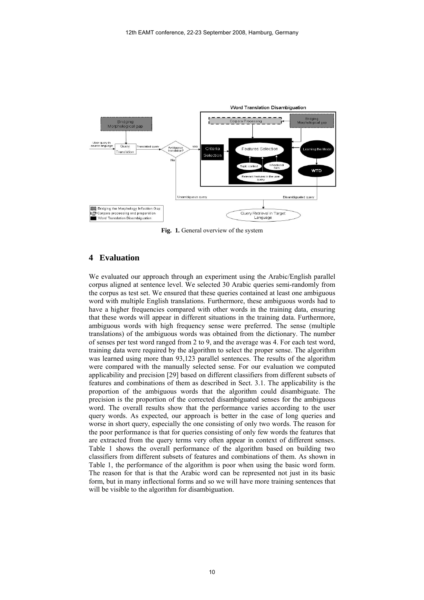

Fig. 1. General overview of the system

### **4 Evaluation**

We evaluated our approach through an experiment using the Arabic/English parallel corpus aligned at sentence level. We selected 30 Arabic queries semi-randomly from the corpus as test set. We ensured that these queries contained at least one ambiguous word with multiple English translations. Furthermore, these ambiguous words had to have a higher frequencies compared with other words in the training data, ensuring that these words will appear in different situations in the training data. Furthermore, ambiguous words with high frequency sense were preferred. The sense (multiple translations) of the ambiguous words was obtained from the dictionary. The number of senses per test word ranged from 2 to 9, and the average was 4. For each test word, training data were required by the algorithm to select the proper sense. The algorithm was learned using more than 93,123 parallel sentences. The results of the algorithm were compared with the manually selected sense. For our evaluation we computed applicability and precision [29] based on different classifiers from different subsets of features and combinations of them as described in Sect. 3.1. The applicability is the proportion of the ambiguous words that the algorithm could disambiguate. The precision is the proportion of the corrected disambiguated senses for the ambiguous word. The overall results show that the performance varies according to the user query words. As expected, our approach is better in the case of long queries and worse in short query, especially the one consisting of only two words. The reason for the poor performance is that for queries consisting of only few words the features that are extracted from the query terms very often appear in context of different senses. Table 1 shows the overall performance of the algorithm based on building two classifiers from different subsets of features and combinations of them. As shown in Table 1, the performance of the algorithm is poor when using the basic word form. The reason for that is that the Arabic word can be represented not just in its basic form, but in many inflectional forms and so we will have more training sentences that will be visible to the algorithm for disambiguation.